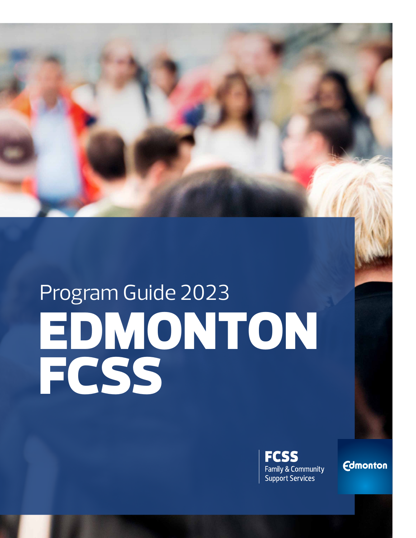

# Program Guide 2023 EDMONTON FCSS



**Edmonton**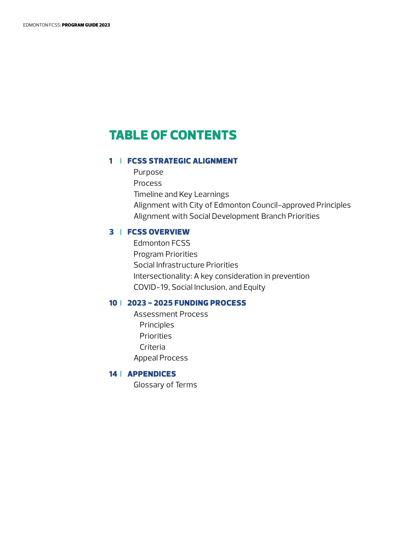# TABLE OF CONTENTS

## 1 | FCSS STRATEGIC ALIGNMENT

 Purpose Process Timeline and Key Learnings Alignment with City of Edmonton Council-approved Principles Alignment with Social Development Branch Priorities

### 3 [FCSS OVERVIEW](#page-4-0)

 Edmonton FCSS Program Priorities Social Infrastructure Priorities Intersectionality: A key consideration in prevention COVID-19, Social Inclusion, and Equity

## 10 [2023 - 2025 FUNDING PROCESS](#page-11-0)

 Assessment Process Principles Priorities Criteria Appeal Process

# 14 | [APPENDICES](#page-15-0)

Glossary of Terms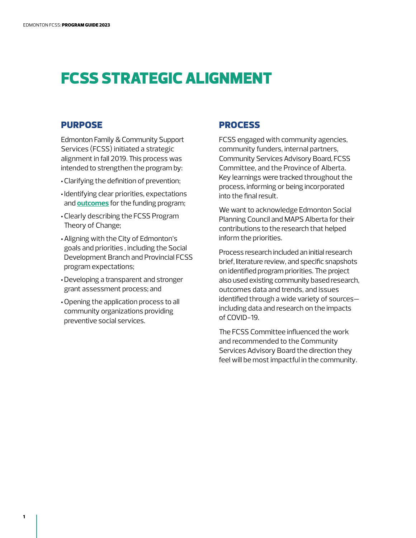# <span id="page-2-0"></span>FCSS STRATEGIC ALIGNMENT

# PURPOSE

Edmonton Family & Community Support Services (FCSS) initiated a strategic alignment in fall 2019. This process was intended to strengthen the program by:

- •Clarifying the definition of prevention;
- Identifying clear priorities, expectations and **[outcomes](#page-16-0)** for the funding program;
- •Clearly describing the FCSS Program Theory of Change;
- •Aligning with the City of Edmonton's goals and priorities , including the Social Development Branch and Provincial FCSS program expectations;
- •Developing a transparent and stronger grant assessment process; and
- •Opening the application process to all community organizations providing preventive social services.

## PROCESS

FCSS engaged with community agencies, community funders, internal partners, Community Services Advisory Board, FCSS Committee, and the Province of Alberta. Key learnings were tracked throughout the process, informing or being incorporated into the final result.

We want to acknowledge Edmonton Social Planning Council and MAPS Alberta for their contributions to the research that helped inform the priorities.

Process research included an initial research brief, literature review, and specific snapshots on identified program priorities. The project also used existing community based research, outcomes data and trends, and issues identified through a wide variety of sources including data and research on the impacts of COVID-19.

The FCSS Committee influenced the work and recommended to the Community Services Advisory Board the direction they feel will be most impactful in the community.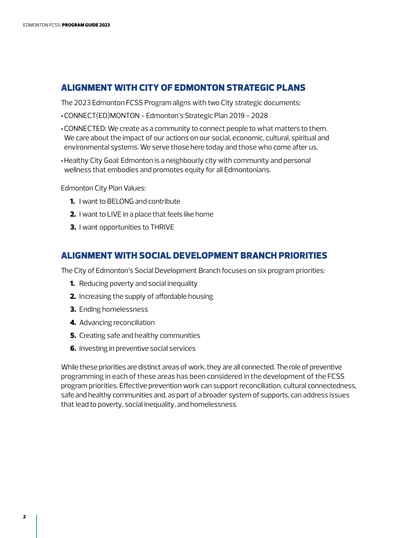# ALIGNMENT WITH CITY OF EDMONTON STRATEGIC PLANS

The 2023 Edmonton FCSS Program aligns with two City strategic documents:

- •CONNECT(ED)MONTON Edmonton's Strategic Plan 2019 2028
- •CONNECTED: We create as a community to connect people to what matters to them. We care about the impact of our actions on our social, economic, cultural, spiritual and environmental systems. We serve those here today and those who come after us.
- •Healthy City Goal: Edmonton is a neighbourly city with community and personal wellness that embodies and promotes equity for all Edmontonians.

Edmonton City Plan Values:

- **1.** I want to BELONG and contribute
- 2. I want to LIVE in a place that feels like home
- 3. I want opportunities to THRIVE

# ALIGNMENT WITH SOCIAL DEVELOPMENT BRANCH PRIORITIES

The City of Edmonton's Social Development Branch focuses on six program priorities:

- **1.** Reducing poverty and social inequality
- 2. Increasing the supply of affordable housing
- 3. Ending homelessness
- 4. Advancing reconciliation
- **5.** Creating safe and healthy communities
- **6.** Investing in preventive social services

While these priorities are distinct areas of work, they are all connected. The role of preventive programming in each of these areas has been considered in the development of the FCSS program priorities. Effective [prevention w](#page-15-0)ork can support reconciliation, cultural connectedness, safe and healthy communities and, as part of a broader system of supports, can address issues that lead to poverty, social inequality, and homelessness.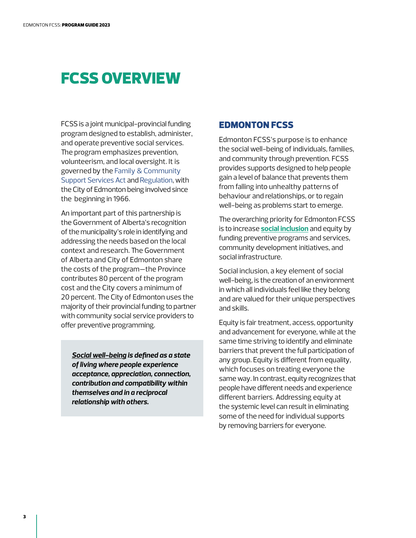# <span id="page-4-0"></span>FCSS OVERVIEW

FCSS is a joint municipal-provincial funding program designed to establish, administer, and operate preventive social services. The program emphasizes prevention, volunteerism, and local oversight. It is governed by the [Family & Community](https://www.qp.alberta.ca/1266.cfm?page=F03.cfm&leg_type=Acts&isbncln=0779701542&display=html)  [Support Services Act and Regulation](https://www.qp.alberta.ca/1266.cfm?page=F03.cfm&leg_type=Acts&isbncln=0779701542&display=html), with the City of Edmonton being involved since the beginning in 1966.

An important part of this partnership is the Government of Alberta's recognition of the municipality's role in identifying and addressing the needs based on the local context and research. The Government of Alberta and City of Edmonton share the costs of the program—the Province contributes 80 percent of the program cost and the City covers a minimum of 20 percent. The City of Edmonton uses the majority of their provincial funding to partner with community social service providers to offer preventive programming.

*[Social well-being](#page-17-0) is defined as a state of living where people experience acceptance, appreciation, connection, contribution and compatibility within themselves and in a reciprocal relationship with others.* 

# EDMONTON FCSS

Edmonton FCSS's purpose is to enhance the social well-being of individuals, families, and community through prevention. FCSS provides supports designed to help people gain a level of balance that prevents them from falling into unhealthy patterns of behaviour and relationships, or to regain well-being as problems start to emerge.

The overarching priority for Edmonton FCSS is to increase **[social inclusion](#page-17-0)** and equity by funding preventive programs and services, community development initiatives, and social infrastructure.

Social inclusion, a key element of social well-being, is the creation of an environment in which all individuals feel like they belong and are valued for their unique perspectives and skills.

Equity is fair treatment, access, opportunity and advancement for everyone, while at the same time striving to identify and eliminate barriers that prevent the full participation of any group. Equity is different from equality, which focuses on treating everyone the same way. In contrast, equity recognizes that people have different needs and experience different barriers. Addressing equity at the systemic level can result in eliminating some of the need for individual supports by removing barriers for everyone.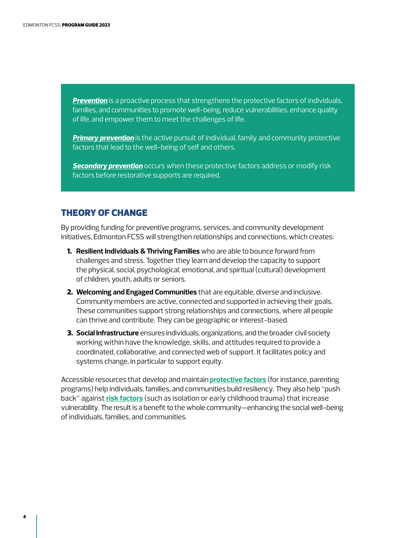*[Prevention](#page-15-0)* is a proactive process that strengthens the protective factors of individuals, families, and communities to promote well-being, reduce vulnerabilities, enhance quality of life, and empower them to meet the challenges of life.

*[Primary prevention](#page-15-0)* is the active pursuit of individual, family and community protective factors that lead to the well-being of self and others.

*[Secondary prevention](#page-15-0)* occurs when these protective factors address or modify risk factors before restorative supports are required.

# THEORY OF CHANGE

By providing funding for preventive programs, services, and community development initiatives, Edmonton FCSS will strengthen relationships and connections, which creates:

- 1. **Resilient Individuals & Thriving Families** who are able to bounce forward from challenges and stress. Together they learn and develop the capacity to support the physical, social, psychological, emotional, and spiritual (cultural) development of children, youth, adults or seniors.
- 2. **Welcoming and Engaged Communities** that are equitable, diverse and inclusive. Community members are active, connected and supported in achieving their goals. These communities support strong relationships and connections, where all people can thrive and contribute. They can be geographic or interest-based.
- **3. Social Infrastructure** ensures individuals, organizations, and the broader civil society working within have the knowledge, skills, and attitudes required to provide a coordinated, collaborative, and connected web of support. It facilitates policy and systems change, in particular to support equity.

Accessible resources that develop and maintain **[protective factors](#page-17-0)** (for instance, parenting programs) help individuals, families, and communities build resiliency. They also help "push back" against **[risk factors](#page-17-0)** (such as isolation or early childhood trauma) that increase vulnerability. The result is a benefit to the whole community—enhancing the social well-being of individuals, families, and communities.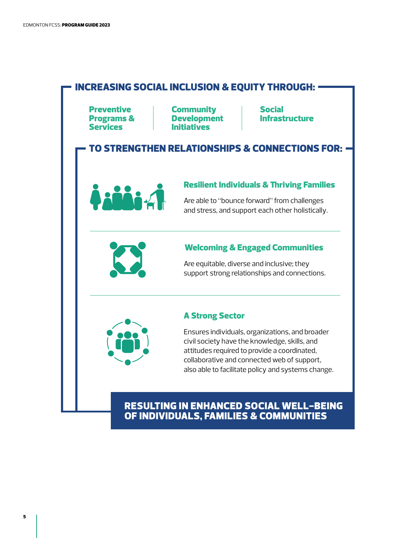

# RESULTING IN ENHANCED SOCIAL WELL-BEING OF INDIVIDUALS, FAMILIES & COMMUNITIES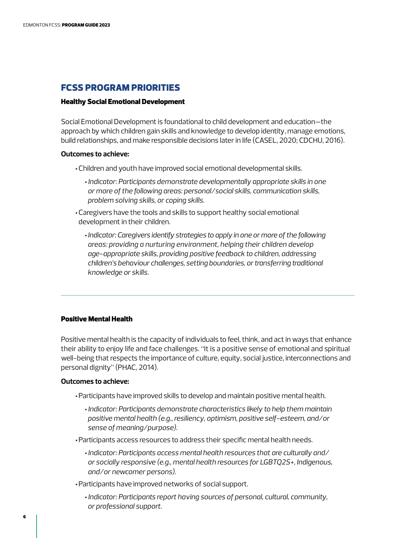# FCSS PROGRAM PRIORITIES

#### Healthy Social Emotional Development

Social Emotional Development is foundational to child development and education—the approach by which children gain skills and knowledge to develop identity, manage emotions, build relationships, and make responsible decisions later in life (CASEL, 2020; CDCHU, 2016).

#### **Outcomes to achieve:**

- •Children and youth have improved social emotional developmental skills.
	- *• Indicator: Participants demonstrate developmentally appropriate skills in one or more of the following areas: personal/social skills, communication skills, problem solving skills, or coping skills.*
- •Caregivers have the tools and skills to support healthy social emotional development in their children.
	- *• Indicator: Caregivers identify strategies to apply in one or more of the following areas: providing a nurturing environment, helping their children develop age-appropriate skills, providing positive feedback to children, addressing children's behaviour challenges, setting boundaries, or transferring traditional knowledge or skills.*

#### Positive Mental Health

Positive mental health is the capacity of individuals to feel, think, and act in ways that enhance their ability to enjoy life and face challenges. "It is a positive sense of emotional and spiritual well-being that respects the importance of culture, equity, social justice, interconnections and personal dignity" (PHAC, 2014).

#### **Outcomes to achieve:**

- •Participants have improved skills to develop and maintain positive mental health.
	- *• Indicator: Participants demonstrate characteristics likely to help them maintain positive mental health (e.g., resiliency, optimism, positive self-esteem, and/or sense of meaning/purpose).*
- •Participants access resources to address their specific mental health needs.
	- *• Indicator: Participants access mental health resources that are culturally and/ or socially responsive (e.g., mental health resources for LGBTQ2S+, Indigenous, and/or newcomer persons).*
- •Participants have improved networks of social support.
	- *• Indicator: Participants report having sources of personal, cultural, community, or professional support.*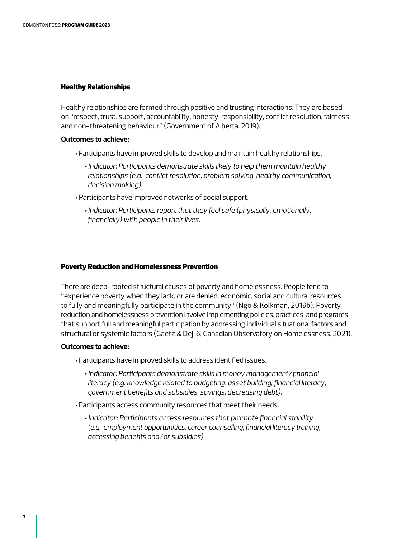#### Healthy Relationships

Healthy relationships are formed through positive and trusting interactions. They are based on "respect, trust, support, accountability, honesty, responsibility, conflict resolution, fairness and non-threatening behaviour" (Government of Alberta, 2019).

#### **Outcomes to achieve:**

- •Participants have improved skills to develop and maintain healthy relationships.
	- *• Indicator: Participants demonstrate skills likely to help them maintain healthy relationships (e.g., conflict resolution, problem solving, healthy communication, decision making).*
- Participants have improved networks of social support.
	- *• Indicator: Participants report that they feel safe (physically, emotionally, financially) with people in their lives.*

#### Poverty Reduction and Homelessness Prevention

There are deep-rooted structural causes of poverty and homelessness. People tend to "experience poverty when they lack, or are denied, economic, social and cultural resources to fully and meaningfully participate in the community" (Ngo & Kolkman, 2019b). Poverty reduction and homelessness prevention involve implementing policies, practices, and programs that support full and meaningful participation by addressing individual situational factors and structural or systemic factors (Gaetz & Dej, 6, Canadian Observatory on Homelessness, 2021).

#### **Outcomes to achieve:**

- •Participants have improved skills to address identified issues.
	- *• Indicator: Participants demonstrate skills in money management/financial literacy (e.g. knowledge related to budgeting, asset building, financial literacy, government benefits and subsidies, savings, decreasing debt).*
- •Participants access community resources that meet their needs.
	- *• Indicator: Participants access resources that promote financial stability (e.g., employment opportunities, career counselling, financial literacy training, accessing benefits and/or subsidies).*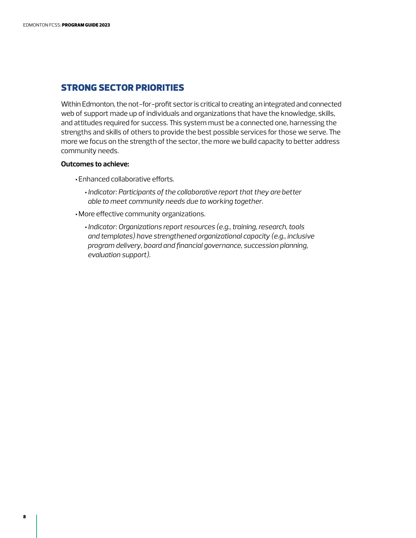# STRONG SECTOR PRIORITIES

Within Edmonton, the not-for-profit sector is critical to creating an integrated and connected web of support made up of individuals and organizations that have the knowledge, skills, and attitudes required for success. This system must be a connected one, harnessing the strengths and skills of others to provide the best possible services for those we serve. The more we focus on the strength of the sector, the more we build capacity to better address community needs.

#### **Outcomes to achieve:**

- •Enhanced collaborative efforts.
	- *• Indicator: Participants of the collaborative report that they are better able to meet community needs due to working together.*
- More effective community organizations.
	- *• Indicator: Organizations report resources (e.g., training, research, tools and templates) have strengthened organizational capacity (e.g., inclusive program delivery, board and financial governance, succession planning, evaluation support).*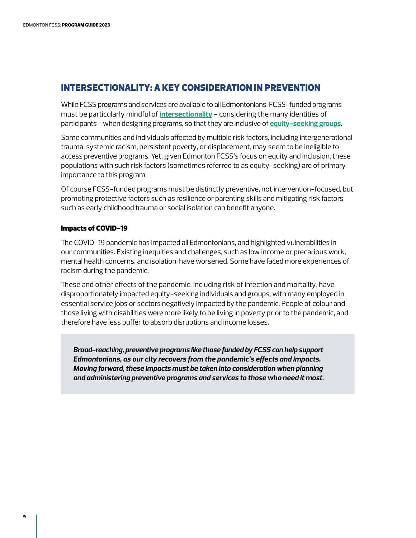# INTERSECTIONALITY: A KEY CONSIDERATION IN PREVENTION

While FCSS programs and services are available to all Edmontonians, FCSS-funded programs must be particularly mindful of **[intersectionality](#page-16-0)** - considering the many identities of participants - when designing programs, so that they are inclusive of **[equity-seeking groups](#page-15-0)**.

Some communities and individuals affected by multiple risk factors, including intergenerational trauma, systemic racism, persistent poverty, or displacement, may seem to be ineligible to access preventive programs. Yet, given Edmonton FCSS's focus on equity and inclusion, these populations with such risk factors (sometimes referred to as equity-seeking) are of primary importance to this program.

Of course FCSS-funded programs must be distinctly preventive, not intervention-focused, but promoting protective factors such as resilience or parenting skills and mitigating risk factors such as early childhood trauma or social isolation can benefit anyone.

#### Impacts of COVID-19

The COVID-19 pandemic has impacted all Edmontonians, and highlighted vulnerabilities in our communities. Existing inequities and challenges, such as low income or precarious work, mental health concerns, and isolation, have worsened. Some have faced more experiences of racism during the pandemic.

These and other effects of the pandemic, including risk of infection and mortality, have disproportionately impacted equity-seeking individuals and groups, with many employed in essential service jobs or sectors negatively impacted by the pandemic. People of colour and those living with disabilities were more likely to be living in poverty prior to the pandemic, and therefore have less buffer to absorb disruptions and income losses.

*Broad-reaching, preventive programs like those funded by FCSS can help support Edmontonians, as our city recovers from the pandemic's effects and impacts. Moving forward, these impacts must be taken into consideration when planning and administering preventive programs and services to those who need it most.*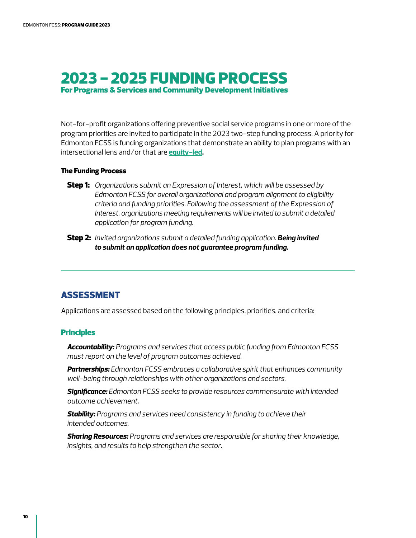# <span id="page-11-0"></span>2023 - 2025 FUNDING PROCESS For Programs & Services and Community Development Initiatives

Not-for-profit organizations offering preventive social service programs in one or more of the program priorities are invited to participate in the 2023 two-step funding process. A priority for Edmonton FCSS is funding organizations that demonstrate an ability to plan programs with an intersectional lens and/or that are **[equity-led.](#page-15-0)** 

#### The Funding Process

- Step 1: *Organizations submit an Expression of Interest, which will be assessed by Edmonton FCSS for overall organizational and program alignment to eligibility criteria and funding priorities. Following the assessment of the Expression of Interest, organizations meeting requirements will be invited to submit a detailed application for program funding.*
- Step 2: *Invited organizations submit a detailed funding application. Being invited to submit an application does not guarantee program funding.*

# ASSESSMENT

Applications are assessed based on the following principles, priorities, and criteria:

#### **Principles**

*Accountability: Programs and services that access public funding from Edmonton FCSS must report on the level of program outcomes achieved.* 

*Partnerships: Edmonton FCSS embraces a collaborative spirit that enhances community well-being through relationships with other organizations and sectors.* 

*Significance: Edmonton FCSS seeks to provide resources commensurate with intended outcome achievement.* 

*Stability: Programs and services need consistency in funding to achieve their intended outcomes.* 

*Sharing Resources: Programs and services are responsible for sharing their knowledge, insights, and results to help strengthen the sector.*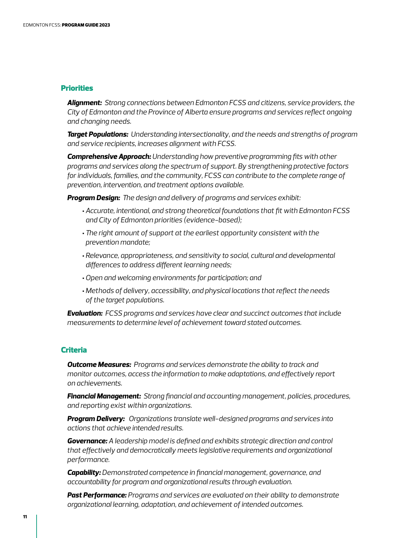#### **Priorities**

*Alignment: Strong connections between Edmonton FCSS and citizens, service providers, the City of Edmonton and the Province of Alberta ensure programs and services reflect ongoing and changing needs.* 

*Target Populations: Understanding intersectionality, and the needs and strengths of program and service recipients, increases alignment with FCSS.* 

*Comprehensive Approach: Understanding how preventive programming fits with other programs and services along the spectrum of support. By strengthening protective factors for individuals, families, and the community, FCSS can contribute to the complete range of prevention, intervention, and treatment options available.*

*Program Design: The design and delivery of programs and services exhibit:* 

- •*Accurate, intentional, and strong theoretical foundations that fit with Edmonton FCSS and City of Edmonton priorities (evidence-based);*
- •*The right amount of support at the earliest opportunity consistent with the prevention mandate;*
- •*Relevance, appropriateness, and sensitivity to social, cultural and developmental differences to address different learning needs;*
- •*Open and welcoming environments for participation; and*
- *Methods of delivery, accessibility, and physical locations that reflect the needs of the target populations.*

*Evaluation: FCSS programs and services have clear and succinct outcomes that include measurements to determine level of achievement toward stated outcomes.* 

#### **Criteria**

*Outcome Measures: Programs and services demonstrate the ability to track and monitor outcomes, access the information to make adaptations, and effectively report on achievements.* 

*Financial Management: Strong financial and accounting management, policies, procedures, and reporting exist within organizations.* 

*Program Delivery: Organizations translate well-designed programs and services into actions that achieve intended results.* 

*Governance: A leadership model is defined and exhibits strategic direction and control that effectively and democratically meets legislative requirements and organizational performance.*

*Capability: Demonstrated competence in financial management, governance, and accountability for program and organizational results through evaluation.*

*Past Performance: Programs and services are evaluated on their ability to demonstrate organizational learning, adaptation, and achievement of intended outcomes.*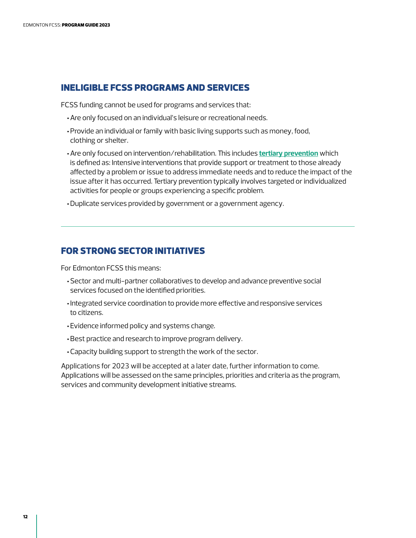# INELIGIBLE FCSS PROGRAMS AND SERVICES

FCSS funding cannot be used for programs and services that:

- •Are only focused on an individual's leisure or recreational needs.
- •Provide an individual or family with basic living supports such as money, food, clothing or shelter.
- •Are only focused on intervention/rehabilitation. This includes **[tertiary prevention](#page-17-0)** which is defined as: Intensive interventions that provide support or treatment to those already affected by a problem or issue to address immediate needs and to reduce the impact of the issue after it has occurred. Tertiary prevention typically involves targeted or individualized activities for people or groups experiencing a specific problem.

•Duplicate services provided by government or a government agency.

# FOR STRONG SECTOR INITIATIVES

For Edmonton FCSS this means:

- •Sector and multi-partner collaboratives to develop and advance preventive social services focused on the identified priorities.
- Integrated service coordination to provide more effective and responsive services to citizens.
- •Evidence informed policy and systems change.
- •Best practice and research to improve program delivery.
- •Capacity building support to strength the work of the sector.

Applications for 2023 will be accepted at a later date, further information to come. Applications will be assessed on the same principles, priorities and criteria as the program, services and community development initiative streams.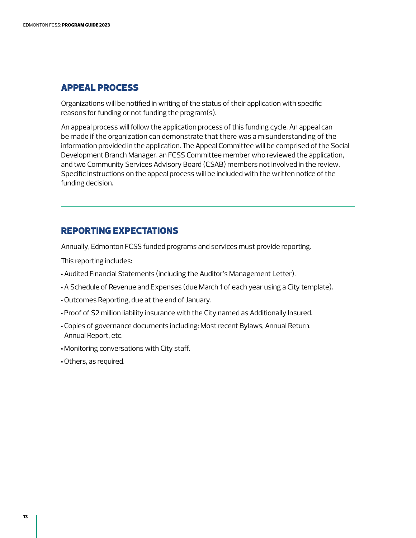# APPEAL PROCESS

Organizations will be notified in writing of the status of their application with specific reasons for funding or not funding the program(s).

An appeal process will follow the application process of this funding cycle. An appeal can be made if the organization can demonstrate that there was a misunderstanding of the information provided in the application. The Appeal Committee will be comprised of the Social Development Branch Manager, an FCSS Committee member who reviewed the application, and two Community Services Advisory Board (CSAB) members not involved in the review. Specific instructions on the appeal process will be included with the written notice of the funding decision.

# REPORTING EXPECTATIONS

Annually, Edmonton FCSS funded programs and services must provide reporting.

This reporting includes:

- •Audited Financial Statements (including the Auditor's Management Letter).
- •A Schedule of Revenue and Expenses (due March 1 of each year using a City template).
- •Outcomes Reporting, due at the end of January.
- •Proof of \$2 million liability insurance with the City named as Additionally Insured.
- •Copies of governance documents including: Most recent Bylaws, Annual Return, Annual Report, etc.
- Monitoring conversations with City staff.
- •Others, as required.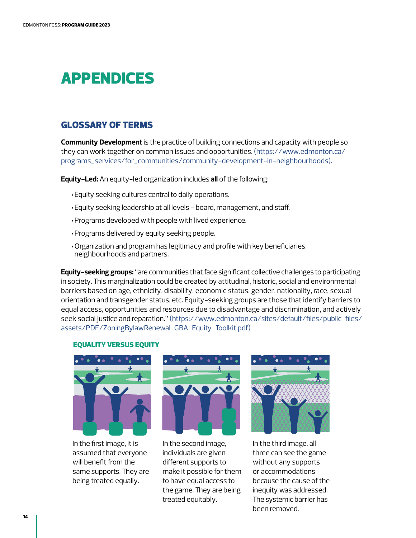# <span id="page-15-0"></span>APPENDICES

# GLOSSARY OF TERMS

**Community Development** is the practice of building connections and capacity with people so they can work together on common issues and opportunities. [\(https://www.edmonton.ca/](https://www.edmonton.ca/programs_services/for_communities/community-development-in-neighbourhoods) [programs\\_services/for\\_communities/community-development-in-neighbourhoods\).](https://www.edmonton.ca/programs_services/for_communities/community-development-in-neighbourhoods) 

**Equity-Led:** An equity-led organization includes **all** of the following:

- •Equity seeking cultures central to daily operations.
- •Equity seeking leadership at all levels board, management, and staff.
- •Programs developed with people with lived experience.
- •Programs delivered by equity seeking people.
- •Organization and program has legitimacy and profile with key beneficiaries, neighbourhoods and partners.

EQUALITY VERSUS EQUITY [assets/PDF/ZoningBylawRenewal\\_GBA\\_Equity\\_Toolkit.pdf\)](http://www.edmonton.ca/sites/default/files/public-files/assets/PDF/ZoningBylawRenewal_GBA_Equity_Toolkit.pdf) **Equity-seeking groups:** "are communities that face significant collective challenges to participating in society. This marginalization could be created by attitudinal, historic, social and environmental barriers based on age, ethnicity, disability, economic status, gender, nationality, race, sexual orientation and transgender status, etc. Equity-seeking groups are those that identify barriers to equal access, opportunities and resources due to disadvantage and discrimination, and actively seek social justice and reparation." [\(https://www.edmonton.ca/sites/default/files/public-files/](http://www.edmonton.ca/sites/default/files/public-files/assets/PDF/ZoningBylawRenewal_GBA_Equity_Toolkit.pdf)

#### EQUALITY VERSUS EQUITY



In the first image, it is assumed that everyone will benefit from the same supports. They are being treated equally.



In the second image, individuals are given different supports to make it possible for them to have equal access to the game. They are being treated equitably.



In the third image, all three can see the game without any supports or accommodations because the cause of the inequity was addressed. The systemic barrier has been removed.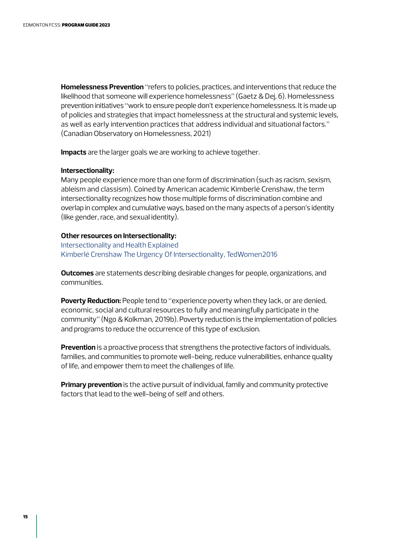<span id="page-16-0"></span>**Homelessness Prevention** "refers to policies, practices, and interventions that reduce the likelihood that someone will experience homelessness" (Gaetz & Dej, 6). Homelessness prevention initiatives "work to ensure people don't experience homelessness. It is made up of policies and strategies that impact homelessness at the structural and systemic levels, as well as early intervention practices that address individual and situational factors." (Canadian Observatory on Homelessness, 2021)

**Impacts** are the larger goals we are working to achieve together.

#### **Intersectionality:**

Many people experience more than one form of discrimination (such as racism, sexism, ableism and classism). Coined by American academic Kimberlé Crenshaw, the term intersectionality recognizes how those multiple forms of discrimination combine and overlap in complex and cumulative ways, based on the many aspects of a person's identity (like gender, race, and sexual identity).

#### **Other resources on Intersectionality:**

[Intersectionality and Health Explained](https://www.youtube.com/watch?app=desktop&v=rwqnC1fy_zc) [Kimberlé Crenshaw The Urgency Of Intersectionality, TedWomen2016](https://www.ted.com/talks/kimberle_crenshaw_the_urgency_of_intersectionality)

**Outcomes** are statements describing desirable changes for people, organizations, and communities.

**Poverty Reduction:** People tend to "experience poverty when they lack, or are denied, economic, social and cultural resources to fully and meaningfully participate in the community" (Ngo & Kolkman, 2019b). Poverty reduction is the implementation of policies and programs to reduce the occurrence of this type of exclusion.

**Prevention** is a proactive process that strengthens the protective factors of individuals, families, and communities to promote well-being, reduce vulnerabilities, enhance quality of life, and empower them to meet the challenges of life.

**Primary prevention** is the active pursuit of individual, family and community protective factors that lead to the well-being of self and others.